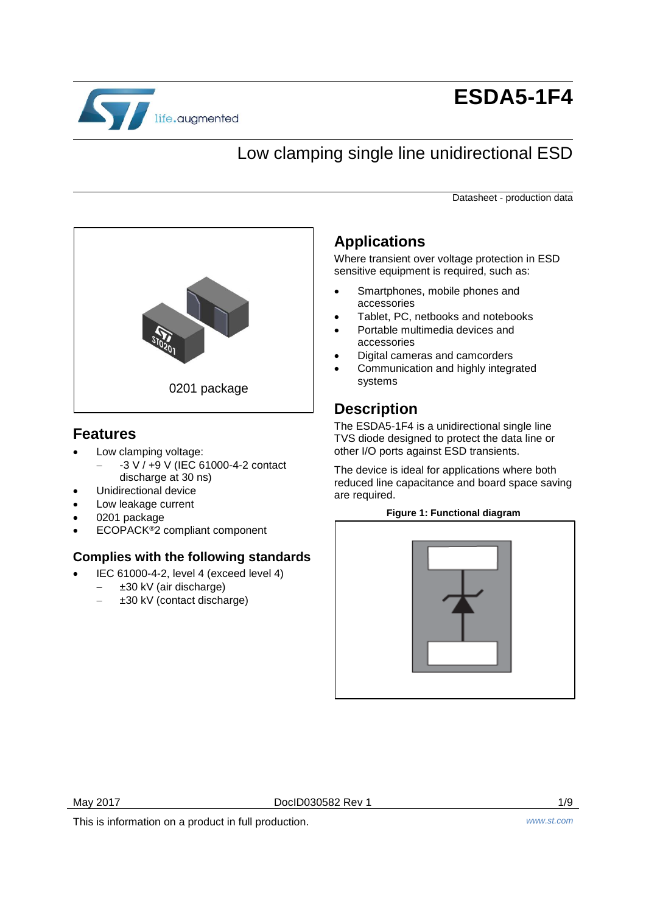

# **ESDA5-1F4**

# Low clamping single line unidirectional ESD

Datasheet - production data



#### **Features**

- Low clamping voltage:
	- -3 V / +9 V (IEC 61000-4-2 contact discharge at 30 ns)
- Unidirectional device
- Low leakage current
- 0201 package
- ECOPACK®2 compliant component

#### **Complies with the following standards**

- IEC 61000-4-2, level 4 (exceed level 4)
	- ±30 kV (air discharge)
	- $\pm 30$  kV (contact discharge)

## **Applications**

Where transient over voltage protection in ESD sensitive equipment is required, such as:

- Smartphones, mobile phones and accessories
- Tablet, PC, netbooks and notebooks
- Portable multimedia devices and accessories
- Digital cameras and camcorders
- Communication and highly integrated systems

## **Description**

The ESDA5-1F4 is a unidirectional single line TVS diode designed to protect the data line or other I/O ports against ESD transients.

The device is ideal for applications where both reduced line capacitance and board space saving are required.

#### **Figure 1: Functional diagram**



May 2017 **DoclD030582 Rev 1** 2017 **DoclD030582 Rev 1** 

This is information on a product in full production. *www.st.com*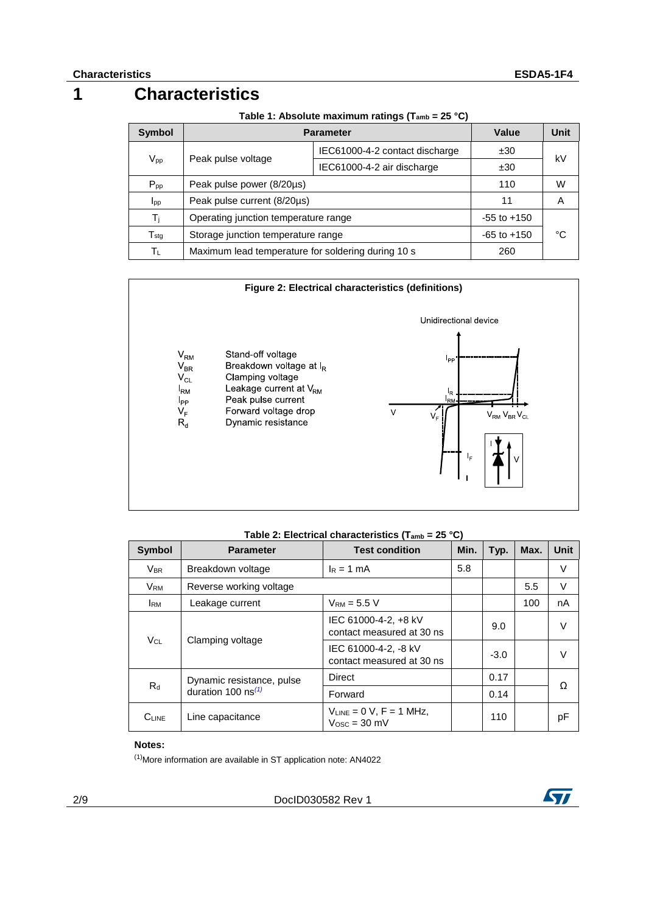## **1 Characteristics**

| <b>Symbol</b>                      | <b>Parameter</b>                                   | Value                          | Unit            |    |  |
|------------------------------------|----------------------------------------------------|--------------------------------|-----------------|----|--|
|                                    |                                                    | IEC61000-4-2 contact discharge | ±30             |    |  |
| Peak pulse voltage<br>$V_{\sf pp}$ | IEC61000-4-2 air discharge                         | ±30                            | kV              |    |  |
| $P_{\text{pp}}$                    | Peak pulse power (8/20µs)                          |                                | 110             | W  |  |
| $I_{\text{pp}}$                    | Peak pulse current (8/20µs)                        |                                | 11              | A  |  |
| T <sub>i</sub>                     | Operating junction temperature range               |                                | $-55$ to $+150$ |    |  |
| $\mathsf{T}_{\textsf{stq}}$        | Storage junction temperature range                 |                                | $-65$ to $+150$ | °C |  |
| Tι                                 | Maximum lead temperature for soldering during 10 s |                                | 260             |    |  |



#### **Table 2: Electrical characteristics (Tamb = 25 °C)**

| Symbol                              | <b>Parameter</b>                                  | <b>Test condition</b>                             | Min.   | Typ. | Max. | Unit |
|-------------------------------------|---------------------------------------------------|---------------------------------------------------|--------|------|------|------|
| <b>VBR</b>                          | Breakdown voltage                                 | $I_R = 1$ mA                                      | 5.8    |      |      | V    |
| <b>V<sub>RM</sub></b>               | Reverse working voltage                           |                                                   |        |      | 5.5  | V    |
| <b>IRM</b>                          | Leakage current                                   | $V_{RM}$ = 5.5 V                                  |        |      | 100  | nA   |
|                                     |                                                   | IEC 61000-4-2, +8 kV<br>contact measured at 30 ns |        | 9.0  |      | V    |
| V <sub>CL</sub><br>Clamping voltage | IEC 61000-4-2, -8 kV<br>contact measured at 30 ns |                                                   | $-3.0$ |      | V    |      |
|                                     | Dynamic resistance, pulse                         | Direct                                            |        | 0.17 |      |      |
| $R_d$                               | duration 100 $\text{ns}^{(1)}$                    | Forward                                           |        | 0.14 |      | Ω    |
| $C_{LINE}$                          | Line capacitance                                  | $V_{LINE} = 0 V, F = 1 MHz,$<br>$V$ osc = 30 mV   |        | 110  |      | рF   |

#### **Notes:**

<span id="page-1-0"></span>(1)More information are available in ST application note: AN4022

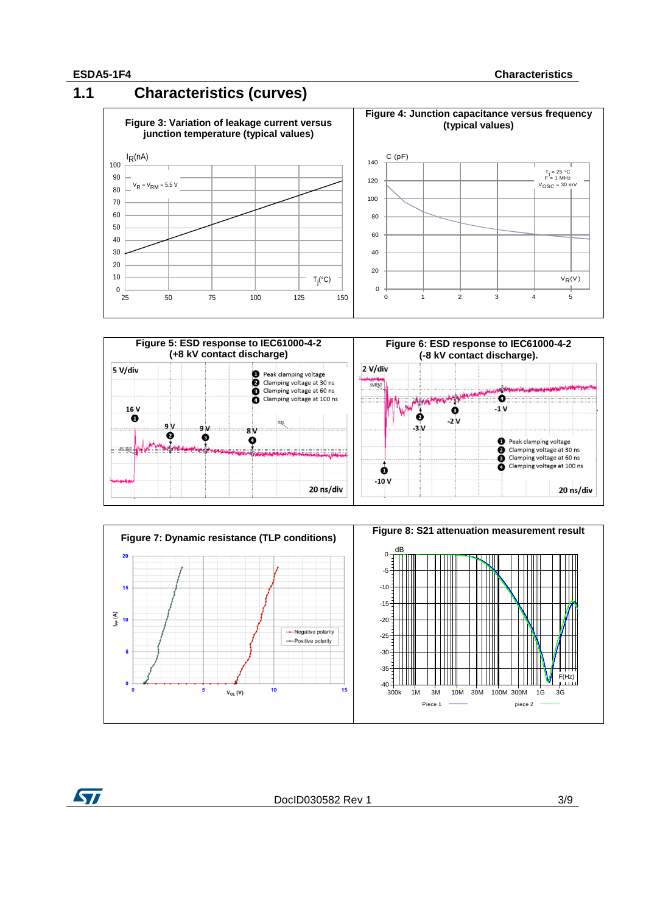## **1.1 Characteristics (curves)**







ST

DocID030582 Rev 1 3/9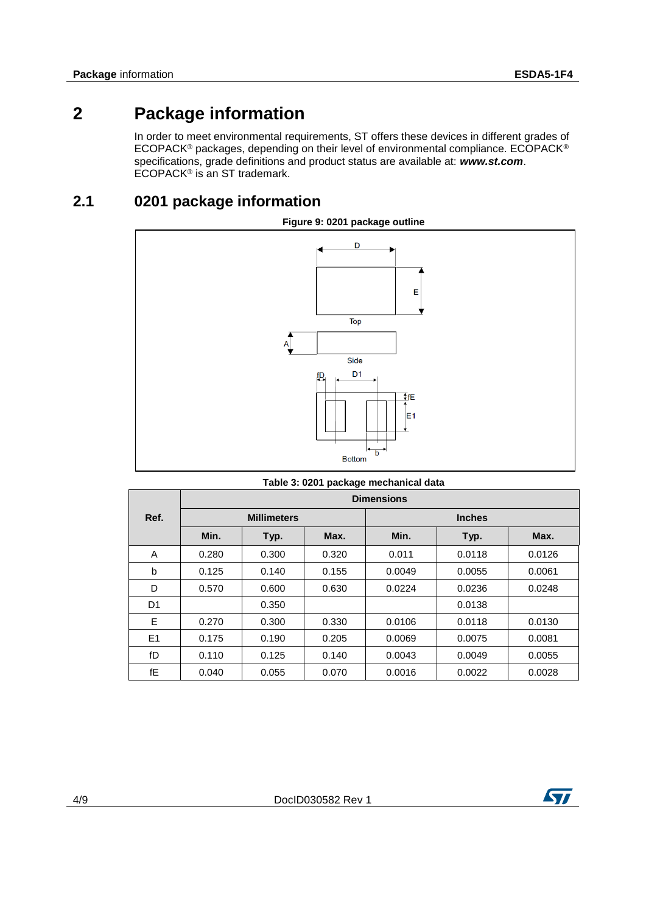# **2 Package information**

In order to meet environmental requirements, ST offers these devices in different grades of ECOPACK® packages, depending on their level of environmental compliance. ECOPACK® specifications, grade definitions and product status are available at: *www.st.com*. ECOPACK<sup>®</sup> is an ST trademark.

### **2.1 0201 package information**



| Table 3: 0201 package mechanical data |  |  |  |
|---------------------------------------|--|--|--|
|---------------------------------------|--|--|--|

|                | <b>Dimensions</b>  |       |       |        |               |        |
|----------------|--------------------|-------|-------|--------|---------------|--------|
| Ref.           | <b>Millimeters</b> |       |       |        | <b>Inches</b> |        |
|                | Min.               | Typ.  | Max.  | Min.   | Typ.          | Max.   |
| A              | 0.280              | 0.300 | 0.320 | 0.011  | 0.0118        | 0.0126 |
| b              | 0.125              | 0.140 | 0.155 | 0.0049 | 0.0055        | 0.0061 |
| D              | 0.570              | 0.600 | 0.630 | 0.0224 | 0.0236        | 0.0248 |
| D <sub>1</sub> |                    | 0.350 |       |        | 0.0138        |        |
| E              | 0.270              | 0.300 | 0.330 | 0.0106 | 0.0118        | 0.0130 |
| E <sub>1</sub> | 0.175              | 0.190 | 0.205 | 0.0069 | 0.0075        | 0.0081 |
| fD             | 0.110              | 0.125 | 0.140 | 0.0043 | 0.0049        | 0.0055 |
| fE             | 0.040              | 0.055 | 0.070 | 0.0016 | 0.0022        | 0.0028 |

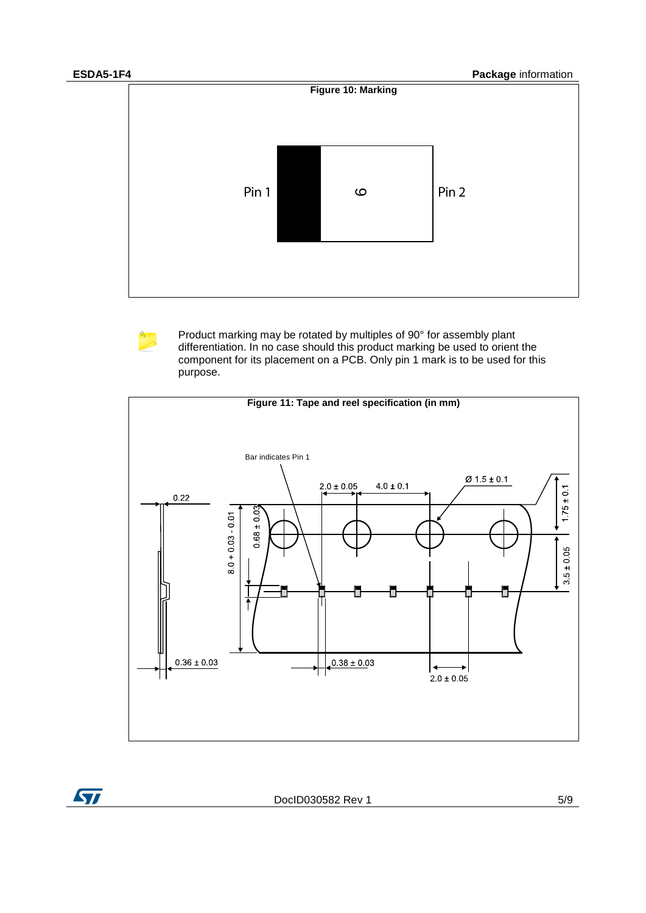ST



Product marking may be rotated by multiples of 90° for assembly plant differentiation. In no case should this product marking be used to orient the component for its placement on a PCB. Only pin 1 mark is to be used for this purpose.



DocID030582 Rev 1 5/9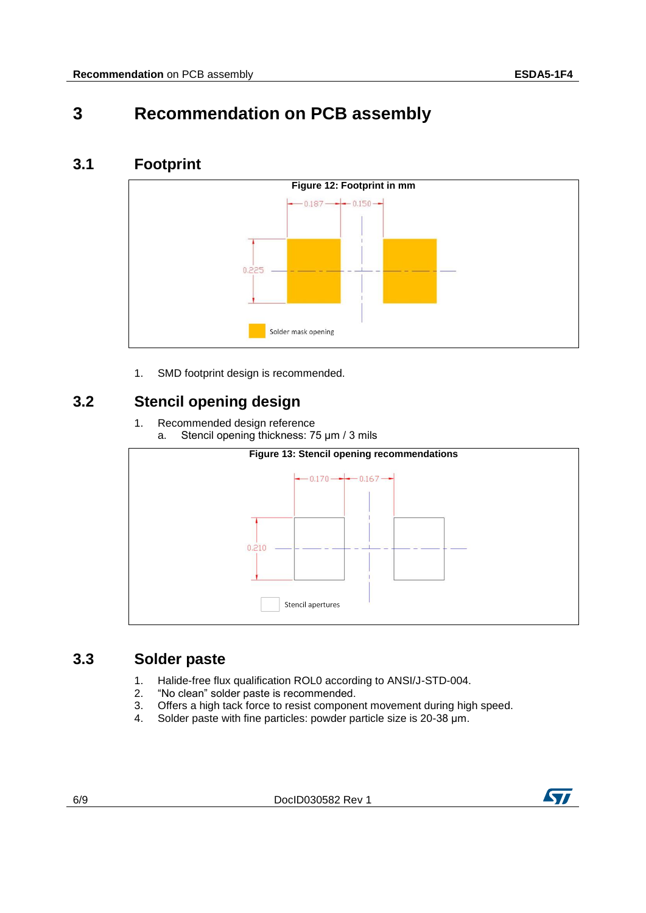# **3 Recommendation on PCB assembly**

### **3.1 Footprint**



1. SMD footprint design is recommended.

## **3.2 Stencil opening design**

1. Recommended design reference a. Stencil opening thickness: 75 μm / 3 mils



#### **3.3 Solder paste**

- 1. Halide-free flux qualification ROL0 according to ANSI/J-STD-004.
- 2. "No clean" solder paste is recommended.
- 3. Offers a high tack force to resist component movement during high speed.
- 4. Solder paste with fine particles: powder particle size is 20-38 μm.

6/9 DocID030582 Rev 1

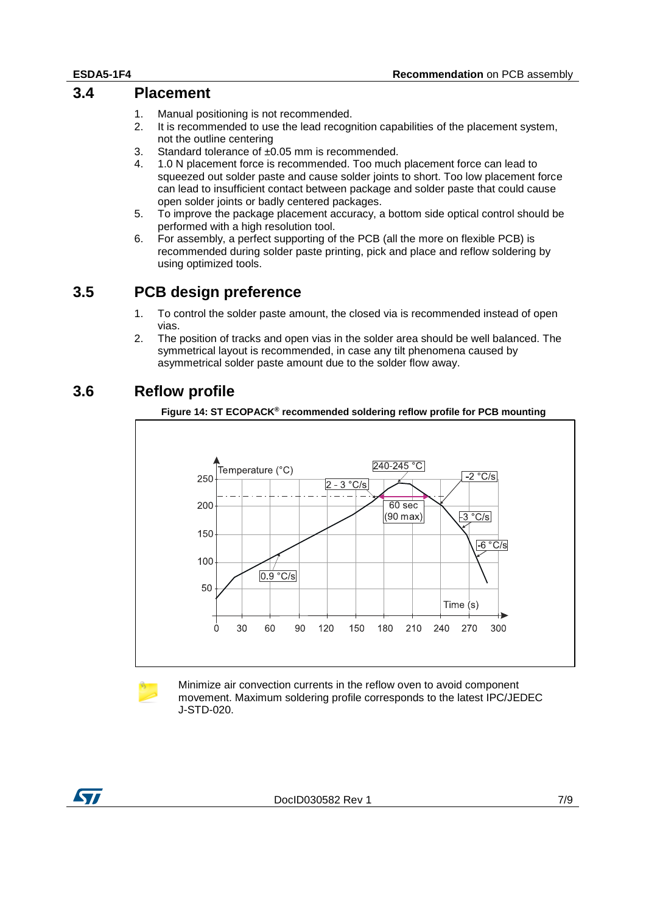#### **3.4 Placement**

- 1. Manual positioning is not recommended.
- 2. It is recommended to use the lead recognition capabilities of the placement system, not the outline centering
- 3. Standard tolerance of ±0.05 mm is recommended.
- 4. 1.0 N placement force is recommended. Too much placement force can lead to squeezed out solder paste and cause solder joints to short. Too low placement force can lead to insufficient contact between package and solder paste that could cause open solder joints or badly centered packages.
- 5. To improve the package placement accuracy, a bottom side optical control should be performed with a high resolution tool.
- 6. For assembly, a perfect supporting of the PCB (all the more on flexible PCB) is recommended during solder paste printing, pick and place and reflow soldering by using optimized tools.

#### **3.5 PCB design preference**

- 1. To control the solder paste amount, the closed via is recommended instead of open vias.
- 2. The position of tracks and open vias in the solder area should be well balanced. The symmetrical layout is recommended, in case any tilt phenomena caused by asymmetrical solder paste amount due to the solder flow away.

#### **3.6 Reflow profile**





Minimize air convection currents in the reflow oven to avoid component movement. Maximum soldering profile corresponds to the latest IPC/JEDEC J-STD-020.

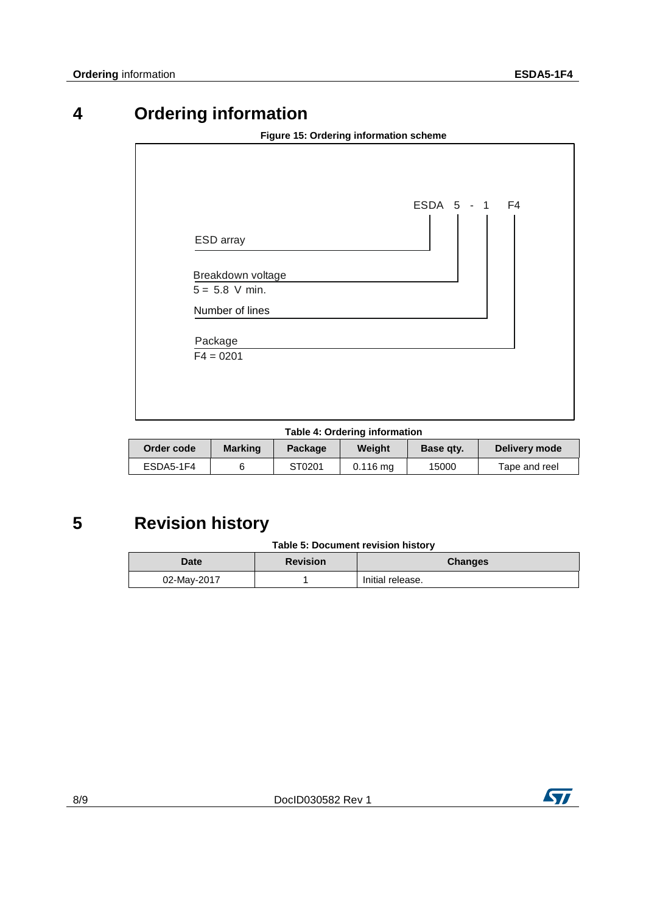# **4 Ordering information**

| Figure 15: Ordering information scheme |               |  |  |  |
|----------------------------------------|---------------|--|--|--|
|                                        | ESDA 5 - 1 F4 |  |  |  |
| ESD array                              |               |  |  |  |
| Breakdown voltage<br>$5 = 5.8$ V min.  |               |  |  |  |
| Number of lines<br>Package             |               |  |  |  |
| $F4 = 0201$                            |               |  |  |  |
|                                        |               |  |  |  |

| Table 4: Ordering information |  |
|-------------------------------|--|
|-------------------------------|--|

| Order code | <b>Marking</b> | <b>Package</b> | Weiaht                | Base gty. | Delivery mode |
|------------|----------------|----------------|-----------------------|-----------|---------------|
| ESDA5-1F4  |                | ST0201         | $0.116 \,\mathrm{mq}$ | 15000     | Tape and reel |

# **5 Revision history**

| Table 5: Document revision history |  |  |
|------------------------------------|--|--|
|------------------------------------|--|--|

| Date<br><b>Revision</b> |  | <b>Changes</b>   |  |
|-------------------------|--|------------------|--|
| 02-May-2017             |  | Initial release. |  |